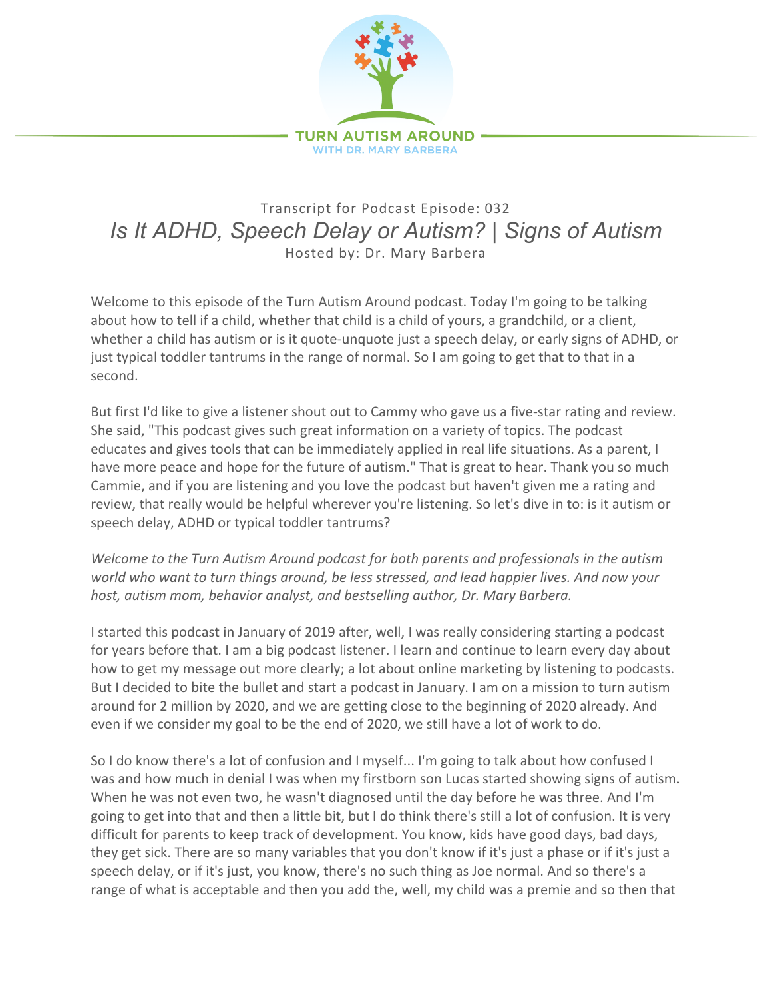

## Transcript for Podcast Episode: 032 *Is It ADHD, Speech Delay or Autism? | Signs of Autism* Hosted by: Dr. Mary Barbera

Welcome to this episode of the Turn Autism Around podcast. Today I'm going to be talking about how to tell if a child, whether that child is a child of yours, a grandchild, or a client, whether a child has autism or is it quote-unquote just a speech delay, or early signs of ADHD, or just typical toddler tantrums in the range of normal. So I am going to get that to that in a second.

But first I'd like to give a listener shout out to Cammy who gave us a five-star rating and review. She said, "This podcast gives such great information on a variety of topics. The podcast educates and gives tools that can be immediately applied in real life situations. As a parent, I have more peace and hope for the future of autism." That is great to hear. Thank you so much Cammie, and if you are listening and you love the podcast but haven't given me a rating and review, that really would be helpful wherever you're listening. So let's dive in to: is it autism or speech delay, ADHD or typical toddler tantrums?

*Welcome to the Turn Autism Around podcast for both parents and professionals in the autism world who want to turn things around, be less stressed, and lead happier lives. And now your host, autism mom, behavior analyst, and bestselling author, Dr. Mary Barbera.*

I started this podcast in January of 2019 after, well, I was really considering starting a podcast for years before that. I am a big podcast listener. I learn and continue to learn every day about how to get my message out more clearly; a lot about online marketing by listening to podcasts. But I decided to bite the bullet and start a podcast in January. I am on a mission to turn autism around for 2 million by 2020, and we are getting close to the beginning of 2020 already. And even if we consider my goal to be the end of 2020, we still have a lot of work to do.

So I do know there's a lot of confusion and I myself... I'm going to talk about how confused I was and how much in denial I was when my firstborn son Lucas started showing signs of autism. When he was not even two, he wasn't diagnosed until the day before he was three. And I'm going to get into that and then a little bit, but I do think there's still a lot of confusion. It is very difficult for parents to keep track of development. You know, kids have good days, bad days, they get sick. There are so many variables that you don't know if it's just a phase or if it's just a speech delay, or if it's just, you know, there's no such thing as Joe normal. And so there's a range of what is acceptable and then you add the, well, my child was a premie and so then that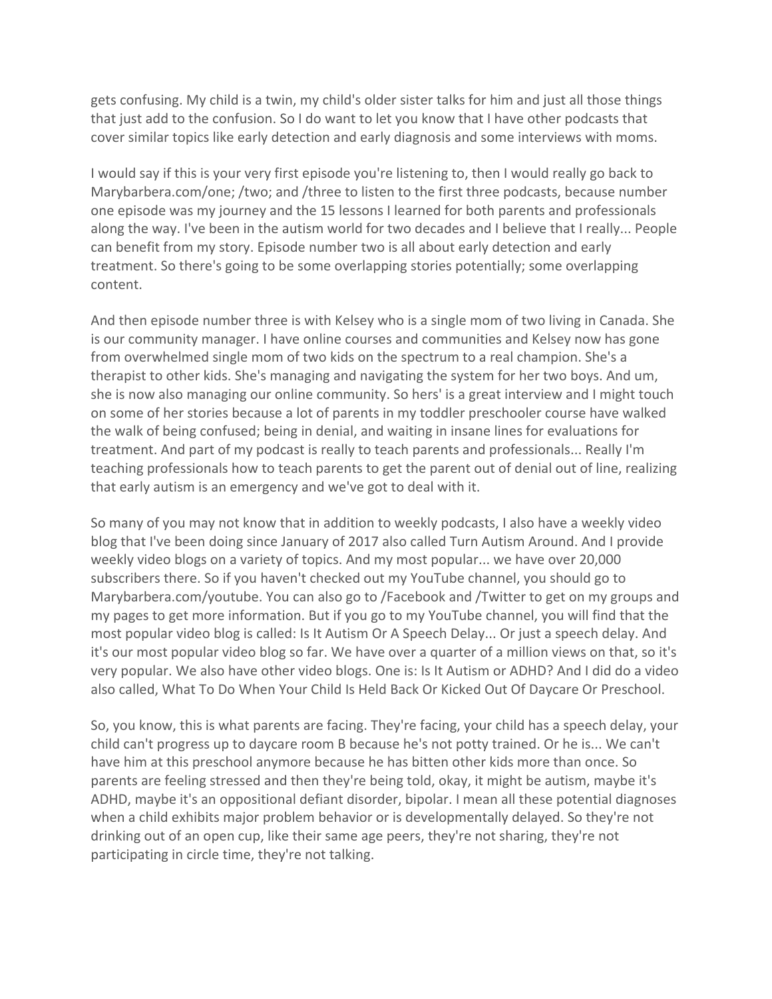gets confusing. My child is a twin, my child's older sister talks for him and just all those things that just add to the confusion. So I do want to let you know that I have other podcasts that cover similar topics like early detection and early diagnosis and some interviews with moms.

I would say if this is your very first episode you're listening to, then I would really go back to Marybarbera.com/one; /two; and /three to listen to the first three podcasts, because number one episode was my journey and the 15 lessons I learned for both parents and professionals along the way. I've been in the autism world for two decades and I believe that I really... People can benefit from my story. Episode number two is all about early detection and early treatment. So there's going to be some overlapping stories potentially; some overlapping content.

And then episode number three is with Kelsey who is a single mom of two living in Canada. She is our community manager. I have online courses and communities and Kelsey now has gone from overwhelmed single mom of two kids on the spectrum to a real champion. She's a therapist to other kids. She's managing and navigating the system for her two boys. And um, she is now also managing our online community. So hers' is a great interview and I might touch on some of her stories because a lot of parents in my toddler preschooler course have walked the walk of being confused; being in denial, and waiting in insane lines for evaluations for treatment. And part of my podcast is really to teach parents and professionals... Really I'm teaching professionals how to teach parents to get the parent out of denial out of line, realizing that early autism is an emergency and we've got to deal with it.

So many of you may not know that in addition to weekly podcasts, I also have a weekly video blog that I've been doing since January of 2017 also called Turn Autism Around. And I provide weekly video blogs on a variety of topics. And my most popular... we have over 20,000 subscribers there. So if you haven't checked out my YouTube channel, you should go to Marybarbera.com/youtube. You can also go to /Facebook and /Twitter to get on my groups and my pages to get more information. But if you go to my YouTube channel, you will find that the most popular video blog is called: Is It Autism Or A Speech Delay... Or just a speech delay. And it's our most popular video blog so far. We have over a quarter of a million views on that, so it's very popular. We also have other video blogs. One is: Is It Autism or ADHD? And I did do a video also called, What To Do When Your Child Is Held Back Or Kicked Out Of Daycare Or Preschool.

So, you know, this is what parents are facing. They're facing, your child has a speech delay, your child can't progress up to daycare room B because he's not potty trained. Or he is... We can't have him at this preschool anymore because he has bitten other kids more than once. So parents are feeling stressed and then they're being told, okay, it might be autism, maybe it's ADHD, maybe it's an oppositional defiant disorder, bipolar. I mean all these potential diagnoses when a child exhibits major problem behavior or is developmentally delayed. So they're not drinking out of an open cup, like their same age peers, they're not sharing, they're not participating in circle time, they're not talking.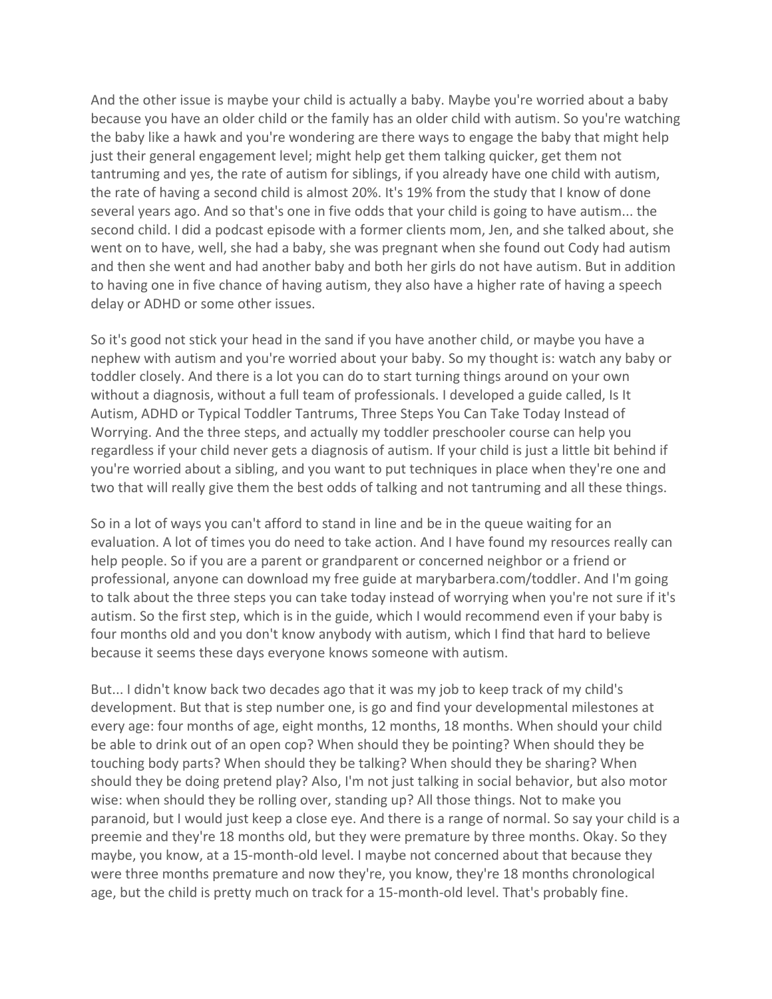And the other issue is maybe your child is actually a baby. Maybe you're worried about a baby because you have an older child or the family has an older child with autism. So you're watching the baby like a hawk and you're wondering are there ways to engage the baby that might help just their general engagement level; might help get them talking quicker, get them not tantruming and yes, the rate of autism for siblings, if you already have one child with autism, the rate of having a second child is almost 20%. It's 19% from the study that I know of done several years ago. And so that's one in five odds that your child is going to have autism... the second child. I did a podcast episode with a former clients mom, Jen, and she talked about, she went on to have, well, she had a baby, she was pregnant when she found out Cody had autism and then she went and had another baby and both her girls do not have autism. But in addition to having one in five chance of having autism, they also have a higher rate of having a speech delay or ADHD or some other issues.

So it's good not stick your head in the sand if you have another child, or maybe you have a nephew with autism and you're worried about your baby. So my thought is: watch any baby or toddler closely. And there is a lot you can do to start turning things around on your own without a diagnosis, without a full team of professionals. I developed a guide called, Is It Autism, ADHD or Typical Toddler Tantrums, Three Steps You Can Take Today Instead of Worrying. And the three steps, and actually my toddler preschooler course can help you regardless if your child never gets a diagnosis of autism. If your child is just a little bit behind if you're worried about a sibling, and you want to put techniques in place when they're one and two that will really give them the best odds of talking and not tantruming and all these things.

So in a lot of ways you can't afford to stand in line and be in the queue waiting for an evaluation. A lot of times you do need to take action. And I have found my resources really can help people. So if you are a parent or grandparent or concerned neighbor or a friend or professional, anyone can download my free guide at marybarbera.com/toddler. And I'm going to talk about the three steps you can take today instead of worrying when you're not sure if it's autism. So the first step, which is in the guide, which I would recommend even if your baby is four months old and you don't know anybody with autism, which I find that hard to believe because it seems these days everyone knows someone with autism.

But... I didn't know back two decades ago that it was my job to keep track of my child's development. But that is step number one, is go and find your developmental milestones at every age: four months of age, eight months, 12 months, 18 months. When should your child be able to drink out of an open cop? When should they be pointing? When should they be touching body parts? When should they be talking? When should they be sharing? When should they be doing pretend play? Also, I'm not just talking in social behavior, but also motor wise: when should they be rolling over, standing up? All those things. Not to make you paranoid, but I would just keep a close eye. And there is a range of normal. So say your child is a preemie and they're 18 months old, but they were premature by three months. Okay. So they maybe, you know, at a 15-month-old level. I maybe not concerned about that because they were three months premature and now they're, you know, they're 18 months chronological age, but the child is pretty much on track for a 15-month-old level. That's probably fine.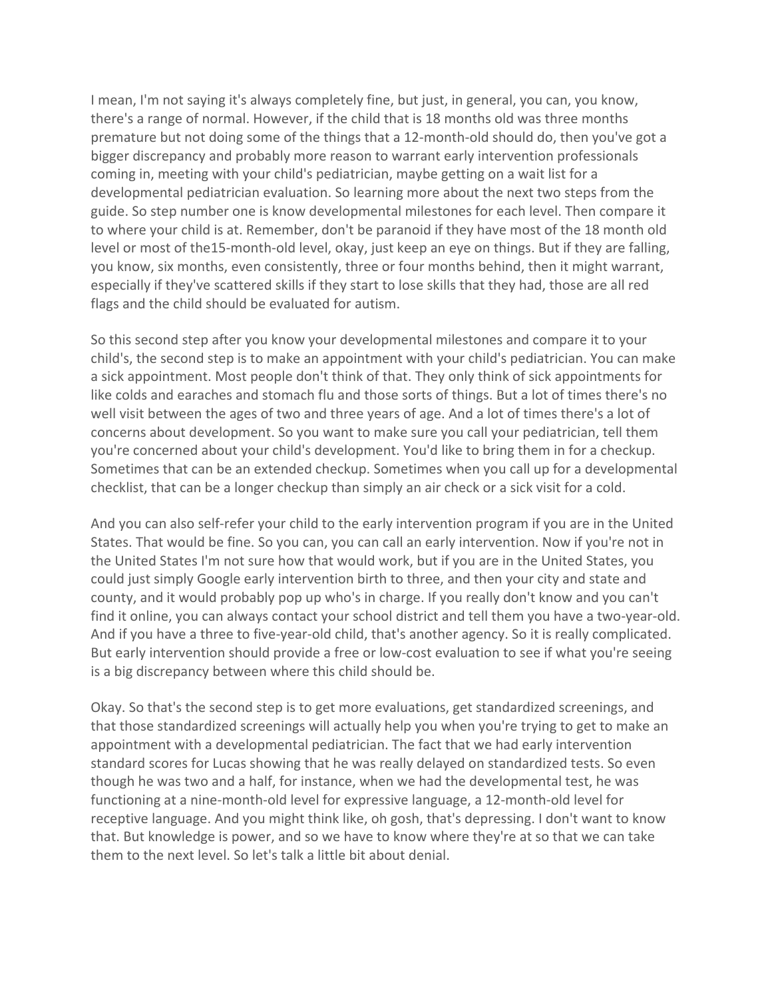I mean, I'm not saying it's always completely fine, but just, in general, you can, you know, there's a range of normal. However, if the child that is 18 months old was three months premature but not doing some of the things that a 12-month-old should do, then you've got a bigger discrepancy and probably more reason to warrant early intervention professionals coming in, meeting with your child's pediatrician, maybe getting on a wait list for a developmental pediatrician evaluation. So learning more about the next two steps from the guide. So step number one is know developmental milestones for each level. Then compare it to where your child is at. Remember, don't be paranoid if they have most of the 18 month old level or most of the15-month-old level, okay, just keep an eye on things. But if they are falling, you know, six months, even consistently, three or four months behind, then it might warrant, especially if they've scattered skills if they start to lose skills that they had, those are all red flags and the child should be evaluated for autism.

So this second step after you know your developmental milestones and compare it to your child's, the second step is to make an appointment with your child's pediatrician. You can make a sick appointment. Most people don't think of that. They only think of sick appointments for like colds and earaches and stomach flu and those sorts of things. But a lot of times there's no well visit between the ages of two and three years of age. And a lot of times there's a lot of concerns about development. So you want to make sure you call your pediatrician, tell them you're concerned about your child's development. You'd like to bring them in for a checkup. Sometimes that can be an extended checkup. Sometimes when you call up for a developmental checklist, that can be a longer checkup than simply an air check or a sick visit for a cold.

And you can also self-refer your child to the early intervention program if you are in the United States. That would be fine. So you can, you can call an early intervention. Now if you're not in the United States I'm not sure how that would work, but if you are in the United States, you could just simply Google early intervention birth to three, and then your city and state and county, and it would probably pop up who's in charge. If you really don't know and you can't find it online, you can always contact your school district and tell them you have a two-year-old. And if you have a three to five-year-old child, that's another agency. So it is really complicated. But early intervention should provide a free or low-cost evaluation to see if what you're seeing is a big discrepancy between where this child should be.

Okay. So that's the second step is to get more evaluations, get standardized screenings, and that those standardized screenings will actually help you when you're trying to get to make an appointment with a developmental pediatrician. The fact that we had early intervention standard scores for Lucas showing that he was really delayed on standardized tests. So even though he was two and a half, for instance, when we had the developmental test, he was functioning at a nine-month-old level for expressive language, a 12-month-old level for receptive language. And you might think like, oh gosh, that's depressing. I don't want to know that. But knowledge is power, and so we have to know where they're at so that we can take them to the next level. So let's talk a little bit about denial.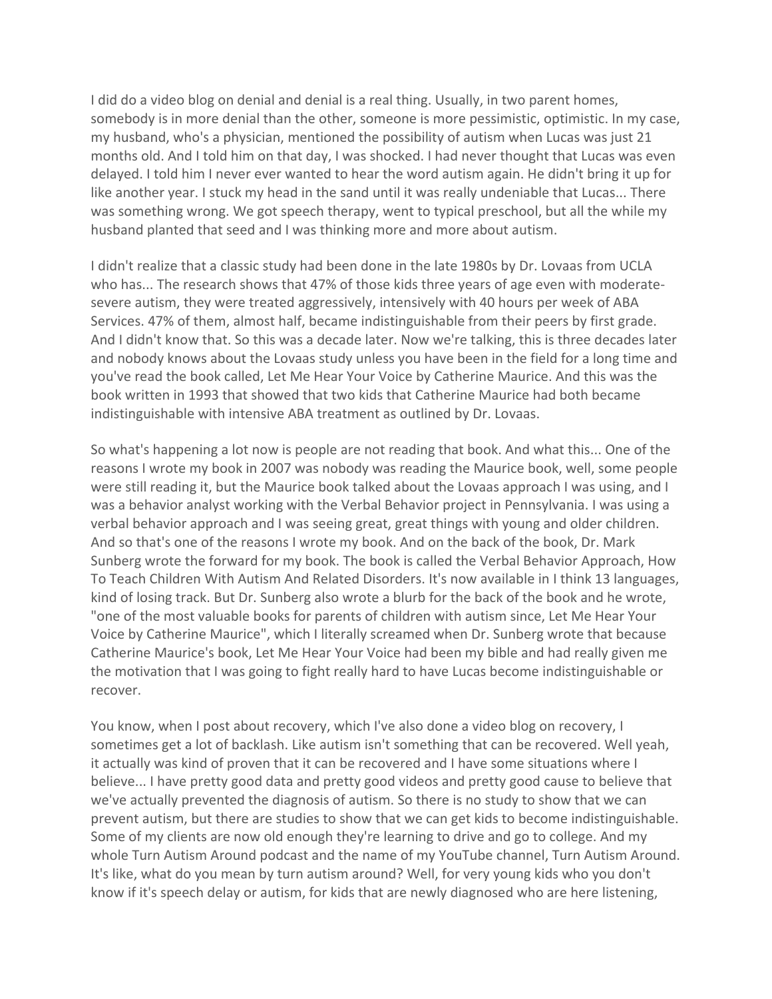I did do a video blog on denial and denial is a real thing. Usually, in two parent homes, somebody is in more denial than the other, someone is more pessimistic, optimistic. In my case, my husband, who's a physician, mentioned the possibility of autism when Lucas was just 21 months old. And I told him on that day, I was shocked. I had never thought that Lucas was even delayed. I told him I never ever wanted to hear the word autism again. He didn't bring it up for like another year. I stuck my head in the sand until it was really undeniable that Lucas... There was something wrong. We got speech therapy, went to typical preschool, but all the while my husband planted that seed and I was thinking more and more about autism.

I didn't realize that a classic study had been done in the late 1980s by Dr. Lovaas from UCLA who has... The research shows that 47% of those kids three years of age even with moderatesevere autism, they were treated aggressively, intensively with 40 hours per week of ABA Services. 47% of them, almost half, became indistinguishable from their peers by first grade. And I didn't know that. So this was a decade later. Now we're talking, this is three decades later and nobody knows about the Lovaas study unless you have been in the field for a long time and you've read the book called, Let Me Hear Your Voice by Catherine Maurice. And this was the book written in 1993 that showed that two kids that Catherine Maurice had both became indistinguishable with intensive ABA treatment as outlined by Dr. Lovaas.

So what's happening a lot now is people are not reading that book. And what this... One of the reasons I wrote my book in 2007 was nobody was reading the Maurice book, well, some people were still reading it, but the Maurice book talked about the Lovaas approach I was using, and I was a behavior analyst working with the Verbal Behavior project in Pennsylvania. I was using a verbal behavior approach and I was seeing great, great things with young and older children. And so that's one of the reasons I wrote my book. And on the back of the book, Dr. Mark Sunberg wrote the forward for my book. The book is called the Verbal Behavior Approach, How To Teach Children With Autism And Related Disorders. It's now available in I think 13 languages, kind of losing track. But Dr. Sunberg also wrote a blurb for the back of the book and he wrote, "one of the most valuable books for parents of children with autism since, Let Me Hear Your Voice by Catherine Maurice", which I literally screamed when Dr. Sunberg wrote that because Catherine Maurice's book, Let Me Hear Your Voice had been my bible and had really given me the motivation that I was going to fight really hard to have Lucas become indistinguishable or recover.

You know, when I post about recovery, which I've also done a video blog on recovery, I sometimes get a lot of backlash. Like autism isn't something that can be recovered. Well yeah, it actually was kind of proven that it can be recovered and I have some situations where I believe... I have pretty good data and pretty good videos and pretty good cause to believe that we've actually prevented the diagnosis of autism. So there is no study to show that we can prevent autism, but there are studies to show that we can get kids to become indistinguishable. Some of my clients are now old enough they're learning to drive and go to college. And my whole Turn Autism Around podcast and the name of my YouTube channel, Turn Autism Around. It's like, what do you mean by turn autism around? Well, for very young kids who you don't know if it's speech delay or autism, for kids that are newly diagnosed who are here listening,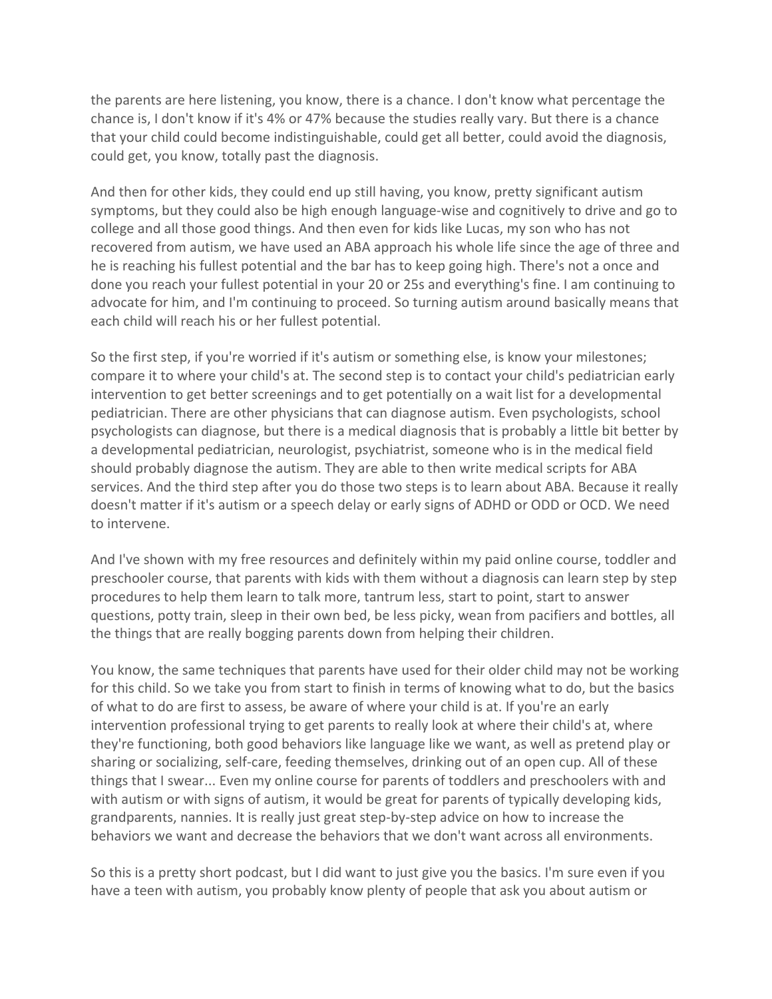the parents are here listening, you know, there is a chance. I don't know what percentage the chance is, I don't know if it's 4% or 47% because the studies really vary. But there is a chance that your child could become indistinguishable, could get all better, could avoid the diagnosis, could get, you know, totally past the diagnosis.

And then for other kids, they could end up still having, you know, pretty significant autism symptoms, but they could also be high enough language-wise and cognitively to drive and go to college and all those good things. And then even for kids like Lucas, my son who has not recovered from autism, we have used an ABA approach his whole life since the age of three and he is reaching his fullest potential and the bar has to keep going high. There's not a once and done you reach your fullest potential in your 20 or 25s and everything's fine. I am continuing to advocate for him, and I'm continuing to proceed. So turning autism around basically means that each child will reach his or her fullest potential.

So the first step, if you're worried if it's autism or something else, is know your milestones; compare it to where your child's at. The second step is to contact your child's pediatrician early intervention to get better screenings and to get potentially on a wait list for a developmental pediatrician. There are other physicians that can diagnose autism. Even psychologists, school psychologists can diagnose, but there is a medical diagnosis that is probably a little bit better by a developmental pediatrician, neurologist, psychiatrist, someone who is in the medical field should probably diagnose the autism. They are able to then write medical scripts for ABA services. And the third step after you do those two steps is to learn about ABA. Because it really doesn't matter if it's autism or a speech delay or early signs of ADHD or ODD or OCD. We need to intervene.

And I've shown with my free resources and definitely within my paid online course, toddler and preschooler course, that parents with kids with them without a diagnosis can learn step by step procedures to help them learn to talk more, tantrum less, start to point, start to answer questions, potty train, sleep in their own bed, be less picky, wean from pacifiers and bottles, all the things that are really bogging parents down from helping their children.

You know, the same techniques that parents have used for their older child may not be working for this child. So we take you from start to finish in terms of knowing what to do, but the basics of what to do are first to assess, be aware of where your child is at. If you're an early intervention professional trying to get parents to really look at where their child's at, where they're functioning, both good behaviors like language like we want, as well as pretend play or sharing or socializing, self-care, feeding themselves, drinking out of an open cup. All of these things that I swear... Even my online course for parents of toddlers and preschoolers with and with autism or with signs of autism, it would be great for parents of typically developing kids, grandparents, nannies. It is really just great step-by-step advice on how to increase the behaviors we want and decrease the behaviors that we don't want across all environments.

So this is a pretty short podcast, but I did want to just give you the basics. I'm sure even if you have a teen with autism, you probably know plenty of people that ask you about autism or